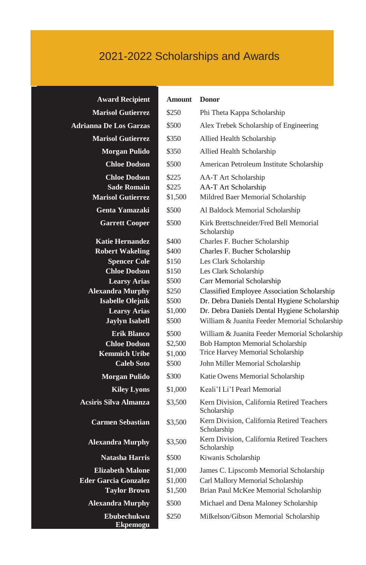# 2021-2022 Scholarships and Awards

| <b>Award Recipient</b>                       | <b>Amount</b>    | <b>Donor</b>                                                                                  |
|----------------------------------------------|------------------|-----------------------------------------------------------------------------------------------|
| <b>Marisol Gutierrez</b>                     | \$250            | Phi Theta Kappa Scholarship                                                                   |
| <b>Adrianna De Los Garzas</b>                | \$500            | Alex Trebek Scholarship of Engineering                                                        |
| <b>Marisol Gutierrez</b>                     | \$350            | Allied Health Scholarship                                                                     |
| <b>Morgan Pulido</b>                         | \$350            | Allied Health Scholarship                                                                     |
| <b>Chloe Dodson</b>                          | \$500            | American Petroleum Institute Scholarship                                                      |
| <b>Chloe Dodson</b>                          | \$225            | AA-T Art Scholarship                                                                          |
| <b>Sade Romain</b>                           | \$225            | AA-T Art Scholarship                                                                          |
| <b>Marisol Gutierrez</b>                     | \$1,500          | Mildred Baer Memorial Scholarship                                                             |
| Genta Yamazaki                               | \$500            | Al Baldock Memorial Scholarship                                                               |
| <b>Garrett Cooper</b>                        | \$500            | Kirk Brettschneider/Fred Bell Memorial<br>Scholarship                                         |
| <b>Katie Hernandez</b>                       | \$400            | Charles F. Bucher Scholarship                                                                 |
| <b>Robert Wakeling</b>                       | \$400            | Charles F. Bucher Scholarship                                                                 |
| <b>Spencer Cole</b>                          | \$150            | Les Clark Scholarship                                                                         |
| <b>Chloe Dodson</b>                          | \$150            | Les Clark Scholarship                                                                         |
| <b>Learsy Arias</b>                          | \$500            | Carr Memorial Scholarship                                                                     |
| <b>Alexandra Murphy</b>                      | \$250            | Classified Employee Association Scholarship                                                   |
| <b>Isabelle Olejnik</b>                      | \$500            | Dr. Debra Daniels Dental Hygiene Scholarship                                                  |
| <b>Learsy Arias</b><br><b>Jaylyn Isabell</b> | \$1,000<br>\$500 | Dr. Debra Daniels Dental Hygiene Scholarship<br>William & Juanita Feeder Memorial Scholarship |
| <b>Erik Blanco</b>                           | \$500            | William & Juanita Feeder Memorial Scholarship                                                 |
| <b>Chloe Dodson</b>                          | \$2,500          | <b>Bob Hampton Memorial Scholarship</b>                                                       |
| <b>Kemmich Uribe</b>                         | \$1,000          | Trice Harvey Memorial Scholarship                                                             |
| <b>Caleb Soto</b>                            | \$500            | John Miller Memorial Scholarship                                                              |
| Morgan Pulido                                | \$300            | Katie Owens Memorial Scholarship                                                              |
| <b>Kiley Lyons</b>                           | \$1,000          | Keali'I Li'I Pearl Memorial                                                                   |
| Acsiris Silva Almanza                        | \$3,500          | Kern Division, California Retired Teachers<br>Scholarship                                     |
| <b>Carmen Sebastian</b>                      | \$3,500          | Kern Division, California Retired Teachers<br>Scholarship                                     |
| <b>Alexandra Murphy</b>                      | \$3,500          | Kern Division, California Retired Teachers<br>Scholarship                                     |
| Natasha Harris                               | \$500            | Kiwanis Scholarship                                                                           |
| <b>Elizabeth Malone</b>                      | \$1,000          | James C. Lipscomb Memorial Scholarship                                                        |
| <b>Eder Garcia Gonzalez</b>                  | \$1,000          | Carl Mallory Memorial Scholarship                                                             |
| <b>Taylor Brown</b>                          | \$1,500          | Brian Paul McKee Memorial Scholarship                                                         |
| <b>Alexandra Murphy</b>                      | \$500            | Michael and Dena Maloney Scholarship                                                          |
| Ebubechukwu<br>Ekpemogu                      | \$250            | Milkelson/Gibson Memorial Scholarship                                                         |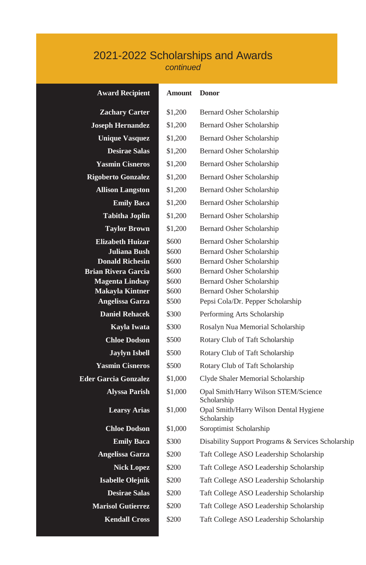## 2021-2022 Scholarships and Awards *continued*

#### **Award Recipient Amount Donor**

| <b>Zachary Carter</b>                    | \$1,200        | Bernard Osher Scholarship                                           |
|------------------------------------------|----------------|---------------------------------------------------------------------|
| <b>Joseph Hernandez</b>                  | \$1.200        | Bernard Osher Scholarship                                           |
| <b>Unique Vasquez</b>                    | \$1,200        | Bernard Osher Scholarship                                           |
| <b>Desirae Salas</b>                     | \$1,200        | Bernard Osher Scholarship                                           |
| <b>Yasmin Cisneros</b>                   | \$1,200        | Bernard Osher Scholarship                                           |
| <b>Rigoberto Gonzalez</b>                | \$1,200        | Bernard Osher Scholarship                                           |
| <b>Allison Langston</b>                  | \$1,200        | Bernard Osher Scholarship                                           |
| <b>Emily Baca</b>                        | \$1,200        | Bernard Osher Scholarship                                           |
| <b>Tabitha Joplin</b>                    | \$1,200        | Bernard Osher Scholarship                                           |
| <b>Taylor Brown</b>                      | \$1,200        | Bernard Osher Scholarship                                           |
| <b>Elizabeth Huizar</b>                  | \$600          | Bernard Osher Scholarship                                           |
| Juliana Bush                             | \$600          | Bernard Osher Scholarship                                           |
| <b>Donald Richesin</b>                   | \$600          | Bernard Osher Scholarship                                           |
| <b>Brian Rivera Garcia</b>               | \$600          | Bernard Osher Scholarship                                           |
| <b>Magenta Lindsay</b>                   | \$600          | Bernard Osher Scholarship                                           |
| <b>Makayla Kintner</b>                   | \$600<br>\$500 | Bernard Osher Scholarship                                           |
| Angelissa Garza<br><b>Daniel Rehacek</b> | \$300          | Pepsi Cola/Dr. Pepper Scholarship                                   |
| Kavla Iwata                              | \$300          | Performing Arts Scholarship                                         |
| <b>Chloe Dodson</b>                      | \$500          | Rosalyn Nua Memorial Scholarship<br>Rotary Club of Taft Scholarship |
| <b>Jaylyn Isbell</b>                     | \$500          |                                                                     |
| <b>Yasmin Cisneros</b>                   | \$500          | Rotary Club of Taft Scholarship                                     |
| Eder Garcia Gonzalez                     | \$1.000        | Rotary Club of Taft Scholarship                                     |
|                                          |                | Clyde Shaler Memorial Scholarship                                   |
| <b>Alyssa Parish</b>                     | \$1,000        | Opal Smith/Harry Wilson STEM/Science<br>Scholarship                 |
| <b>Learsy Arias</b>                      | \$1,000        | Opal Smith/Harry Wilson Dental Hygiene<br>Scholarship               |
| <b>Chloe Dodson</b>                      | \$1.000        | Soroptimist Scholarship                                             |
| <b>Emily Baca</b>                        | \$300          | Disability Support Programs & Services Scholarship                  |
| Angelissa Garza                          | \$200          | Taft College ASO Leadership Scholarship                             |
| <b>Nick Lopez</b>                        | \$200          | Taft College ASO Leadership Scholarship                             |
| Isabelle Olejnik                         | \$200          | Taft College ASO Leadership Scholarship                             |
| <b>Desirae Salas</b>                     | \$200          | Taft College ASO Leadership Scholarship                             |
| <b>Marisol Gutierrez</b>                 | \$200          | Taft College ASO Leadership Scholarship                             |
| <b>Kendall Cross</b>                     | \$200          | Taft College ASO Leadership Scholarship                             |
|                                          |                |                                                                     |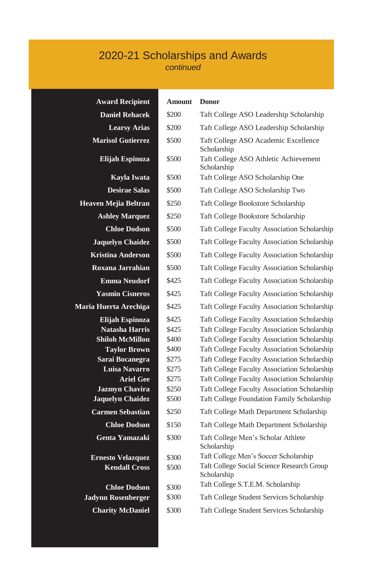### 2020-21 Scholarships and Awards *continued*

| <b>Award Recipient</b>                           | <b>Amount</b>  | <b>Donor</b>                                                                        |
|--------------------------------------------------|----------------|-------------------------------------------------------------------------------------|
| <b>Daniel Rehacek</b>                            | \$200          | Taft College ASO Leadership Scholarship                                             |
| <b>Learsy Arias</b>                              | \$200          | Taft College ASO Leadership Scholarship                                             |
| <b>Marisol Gutierrez</b>                         | \$500          | Taft College ASO Academic Excellence<br>Scholarship                                 |
| Elijah Espinoza                                  | \$500          | Taft College ASO Athletic Achievement<br>Scholarship                                |
| Kayla Iwata                                      | \$500          | Taft College ASO Scholarship One                                                    |
| <b>Desirae Salas</b>                             | \$500          | Taft College ASO Scholarship Two                                                    |
| Heaven Mejia Beltran                             | \$250          | <b>Taft College Bookstore Scholarship</b>                                           |
| <b>Ashley Marquez</b>                            | \$250          | Taft College Bookstore Scholarship                                                  |
| <b>Chloe Dodson</b>                              | \$500          | <b>Taft College Faculty Association Scholarship</b>                                 |
| <b>Jaquelyn Chaidez</b>                          | \$500          | Taft College Faculty Association Scholarship                                        |
| <b>Kristina Anderson</b>                         | \$500          | <b>Taft College Faculty Association Scholarship</b>                                 |
| Roxana Jarrahian                                 | \$500          | Taft College Faculty Association Scholarship                                        |
| <b>Emma Neudorf</b>                              | \$425          | <b>Taft College Faculty Association Scholarship</b>                                 |
| <b>Yasmin Cisneros</b>                           | \$425          | <b>Taft College Faculty Association Scholarship</b>                                 |
| Maria Huerta Arechiga                            | \$425          | Taft College Faculty Association Scholarship                                        |
| Elijah Espinoza                                  | \$425          | <b>Taft College Faculty Association Scholarship</b>                                 |
| <b>Natasha Harris</b>                            | \$425          | Taft College Faculty Association Scholarship                                        |
| <b>Shiloh McMillon</b>                           | \$400          | <b>Taft College Faculty Association Scholarship</b>                                 |
| <b>Taylor Brown</b>                              | \$400          | Taft College Faculty Association Scholarship                                        |
| Sarai Bocanegra                                  | \$275          | Taft College Faculty Association Scholarship                                        |
| Luisa Navarro                                    | \$275          | <b>Taft College Faculty Association Scholarship</b>                                 |
| <b>Ariel Gee</b>                                 | \$275          | Taft College Faculty Association Scholarship                                        |
| <b>Jazmyn Chavira</b>                            | \$250          | <b>Taft College Faculty Association Scholarship</b>                                 |
| <b>Jaquelyn Chaidez</b>                          | \$500          | Taft College Foundation Family Scholarship                                          |
| <b>Carmen Sebastian</b>                          | \$250          | Taft College Math Department Scholarship                                            |
| <b>Chloe Dodson</b>                              | \$150          | Taft College Math Department Scholarship                                            |
| Genta Yamazaki                                   | \$300          | Taft College Men's Scholar Athlete<br>Scholarship                                   |
| <b>Ernesto Velazquez</b><br><b>Kendall Cross</b> | \$300<br>\$500 | Taft College Men's Soccer Scholarship<br>Taft College Social Science Research Group |
|                                                  |                | Scholarship                                                                         |
| <b>Chloe Dodson</b>                              | \$300          | Taft College S.T.E.M. Scholarship                                                   |
| <b>Jadynn Rosenberger</b>                        | \$300          | Taft College Student Services Scholarship                                           |
| <b>Charity McDaniel</b>                          | \$300          | Taft College Student Services Scholarship                                           |